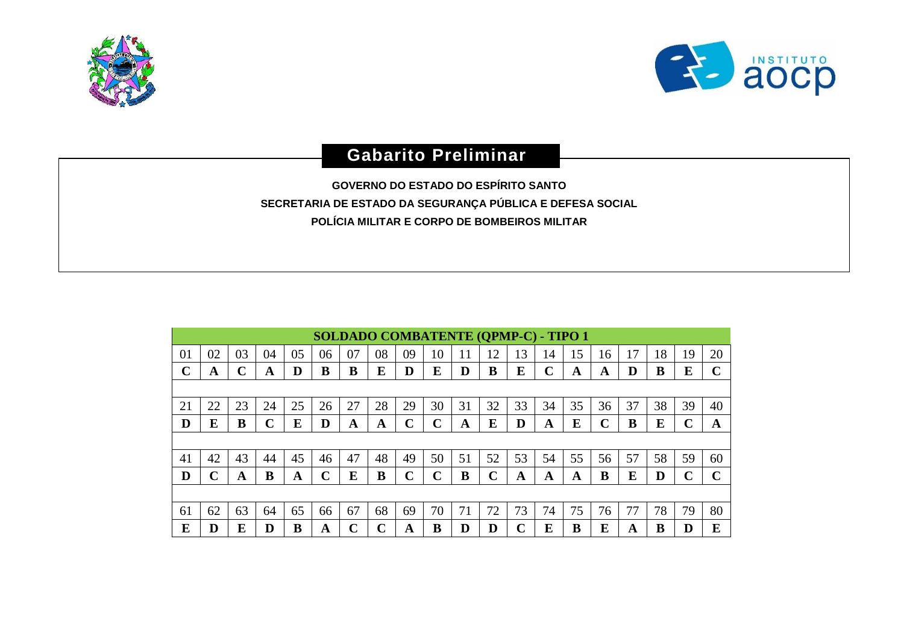



## **Gabarito Preliminar**

**GOVERNO DO ESTADO DO ESPÍRITO SANTO SECRETARIA DE ESTADO DA SEGURANÇA PÚBLICA E DEFESA SOCIAL POLÍCIA MILITAR E CORPO DE BOMBEIROS MILITAR**

|              | <b>SOLDADO COMBATENTE (QPMP-C) - TIPO 1</b> |                    |    |    |             |    |    |    |              |    |             |    |             |    |             |    |    |    |             |
|--------------|---------------------------------------------|--------------------|----|----|-------------|----|----|----|--------------|----|-------------|----|-------------|----|-------------|----|----|----|-------------|
| 01           | 02                                          | 03                 | 04 | 05 | 06          | 07 | 08 | 09 | 10           | 11 | 12          | 13 | 14          | 15 | 16          | 17 | 18 | 19 | 20          |
| $\mathbf{C}$ | A                                           | $\curvearrowright$ | A  | D  | B           | B  | E  | D  | E            | D  | B           | E  | $\mathbf C$ | A  | A           | D  | B  | E  | $\mathbf C$ |
|              |                                             |                    |    |    |             |    |    |    |              |    |             |    |             |    |             |    |    |    |             |
| 21           | 22                                          | 23                 | 24 | 25 | 26          | 27 | 28 | 29 | 30           | 31 | 32          | 33 | 34          | 35 | 36          | 37 | 38 | 39 | 40          |
| D            | E                                           | B                  | C  | E  | D           | A  | A  | C  | C            | A  | E           | D  | A           | E  | $\mathbf C$ | B  | Е  | ◠  | A           |
|              |                                             |                    |    |    |             |    |    |    |              |    |             |    |             |    |             |    |    |    |             |
| 41           | 42                                          | 43                 | 44 | 45 | 46          | 47 | 48 | 49 | 50           | 51 | 52          | 53 | 54          | 55 | 56          | 57 | 58 | 59 | 60          |
| D            | ⌒                                           | A                  | в  | A  | $\mathbf C$ | E  | В  | Ċ  | $\mathsf{C}$ | В  | $\mathbf C$ | A  | A           | A  | B           | E  | D  |    | Ċ           |
|              |                                             |                    |    |    |             |    |    |    |              |    |             |    |             |    |             |    |    |    |             |
| 61           | 62                                          | 63                 | 64 | 65 | 66          | 67 | 68 | 69 | 70           | 71 | 72          | 73 | 74          | 75 | 76          | 77 | 78 | 79 | 80          |
| E            | D                                           | E                  |    | B  | A           | C  | C  | A  | B            | D  | D           | r  | E           | В  | E           | A  | R  |    | E           |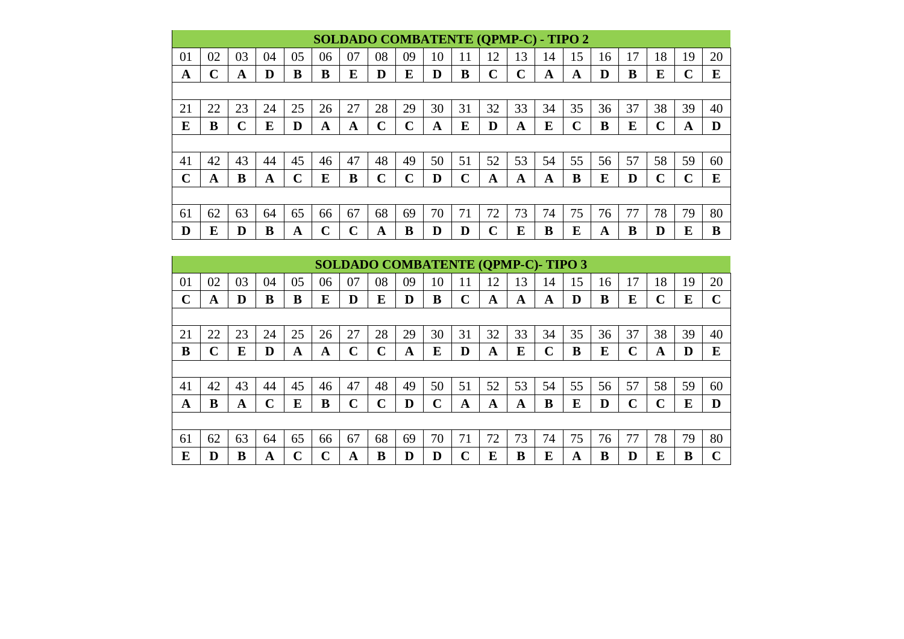|             | <b>SOLDADO COMBATENTE (QPMP-C) - TIPO 2</b> |    |    |    |                   |    |             |             |    |    |    |    |    |             |    |    |              |    |    |
|-------------|---------------------------------------------|----|----|----|-------------------|----|-------------|-------------|----|----|----|----|----|-------------|----|----|--------------|----|----|
| 01          | 02                                          | 03 | 04 | 05 | 06                | 07 | 08          | 09          | 10 | 11 | 12 | 13 | 14 | 15          | 16 | 17 | 18           | 19 | 20 |
| A           | С                                           | A  | D  | B  | B                 | E  | D           | E           | D  | B  | C  | C  | A  | A           | D  | B  | E            |    | E  |
|             |                                             |    |    |    |                   |    |             |             |    |    |    |    |    |             |    |    |              |    |    |
| 21          | 22                                          | 23 | 24 | 25 | 26                | 27 | 28          | 29          | 30 | 31 | 32 | 33 | 34 | 35          | 36 | 37 | 38           | 39 | 40 |
| E           | B                                           | C  | E  | D  | A                 | A  | $\mathbf C$ | $\mathbf C$ | A  | E  | D  | A  | E  | $\mathbf C$ | B  | E  | C            | A  | D  |
|             |                                             |    |    |    |                   |    |             |             |    |    |    |    |    |             |    |    |              |    |    |
| 41          | 42                                          | 43 | 44 | 45 | 46                | 47 | 48          | 49          | 50 | 51 | 52 | 53 | 54 | 55          | 56 | 57 | 58           | 59 | 60 |
| $\mathbf C$ | A                                           | B  | A  | ⌒  | E                 | B  | $\mathbf C$ | C           | D  | C  | A  | A  | A  | B           | E  | D  | $\mathbf{C}$ | ⌒  | E  |
|             |                                             |    |    |    |                   |    |             |             |    |    |    |    |    |             |    |    |              |    |    |
| 61          | 62                                          | 63 | 64 | 65 | 66                | 67 | 68          | 69          | 70 | 71 | 72 | 73 | 74 | 75          | 76 | 77 | 78           | 79 | 80 |
| D           | E                                           | D  | B  | A  | $\mathbf{\hat{}}$ | ◠  | A           | B           | D  | D  | ⌒  | E  | B  | E           | A  | B  | D            | E  | B  |

|    |    |    |    |    |    |             | <b>SOLDADO COMBATENTE (QPMP-C)-TIPO 3</b> |    |    |    |    |    |             |    |    |             |    |    |              |
|----|----|----|----|----|----|-------------|-------------------------------------------|----|----|----|----|----|-------------|----|----|-------------|----|----|--------------|
| 01 | 02 | 03 | 04 | 05 | 06 | 07          | 08                                        | 09 | 10 | 11 | 12 | 13 | 14          | 15 | 16 | 17          | 18 | 19 | 20           |
| ⌒  | A  | D  | B  | B  | E  | D           | E                                         | D  | B  | C  | A  | A  | A           | D  | B  | E           | C  | E  | $\mathbf{C}$ |
|    |    |    |    |    |    |             |                                           |    |    |    |    |    |             |    |    |             |    |    |              |
| 21 | 22 | 23 | 24 | 25 | 26 | 27          | 28                                        | 29 | 30 | 31 | 32 | 33 | 34          | 35 | 36 | 37          | 38 | 39 | 40           |
| B  | C  | E  | D  | A  | A  | C           | $\mathbf C$                               | A  | E  | D  | A  | E  | $\mathbf C$ | B  | E  | $\mathbf C$ | A  | D  | E            |
|    |    |    |    |    |    |             |                                           |    |    |    |    |    |             |    |    |             |    |    |              |
| 41 | 42 | 43 | 44 | 45 | 46 | 47          | 48                                        | 49 | 50 | 51 | 52 | 53 | 54          | 55 | 56 | 57          | 58 | 59 | 60           |
| A  | B  | A  | C  | E  | B  | $\mathbf C$ | $\mathbf C$                               | D  | C  | A  | A  | A  | B           | E  | D  | C           | C  | E  | D            |
|    |    |    |    |    |    |             |                                           |    |    |    |    |    |             |    |    |             |    |    |              |
| 61 | 62 | 63 | 64 | 65 | 66 | 67          | 68                                        | 69 | 70 | 71 | 72 | 73 | 74          | 75 | 76 | 77          | 78 | 79 | 80           |
| E  | D  | B  | A  | r  | r  | A           | B                                         | D  | D  | С  | E  | B  | E           | A  | В  | D           | E  | B  | r            |